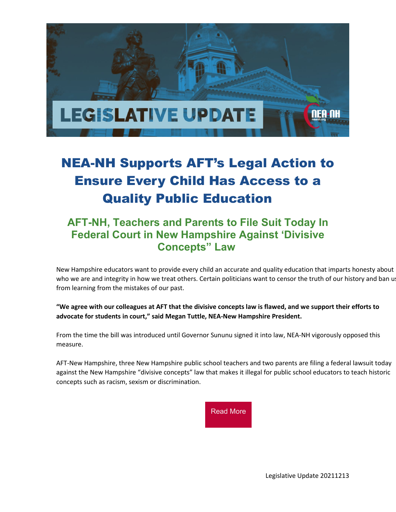

# NEA-NH Supports AFT's Legal Action to Ensure Every Child Has Access to a Quality Public Education

### **AFT-NH, Teachers and Parents to File Suit Today In Federal Court in New Hampshire Against 'Divisive Concepts" Law**

New Hampshire educators want to provide every child an accurate and quality education that imparts honesty about who we are and integrity in how we treat others. Certain politicians want to censor the truth of our history and ban us from learning from the mistakes of our past.

**"We agree with our colleagues at AFT that the divisive concepts law is flawed, and we support their efforts to advocate for students in court," said Megan Tuttle, NEA-New Hampshire President.**

From the time the bill was introduced until Governor Sununu signed it into law, NEA-NH vigorously opposed this measure.

AFT-New Hampshire, three New Hampshire public school teachers and two parents are filing a federal lawsuit today against the New Hampshire "divisive concepts" law that makes it illegal for public school educators to teach historic concepts such as racism, sexism or discrimination.



Legislative Update 20211213